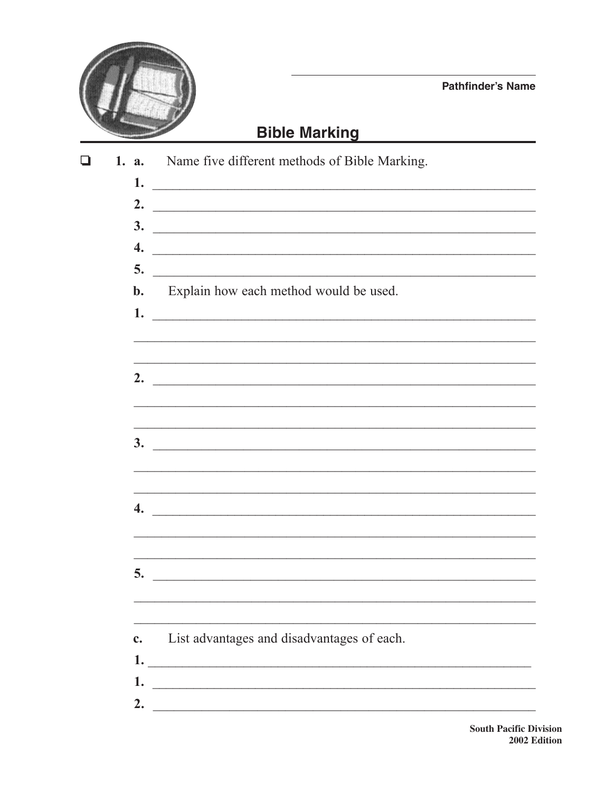

**Pathfinder's Name** 

## **Bible Marking**

| l 1 | 1. a.            | Name five different methods of Bible Marking.                                                                         |
|-----|------------------|-----------------------------------------------------------------------------------------------------------------------|
|     | 1.               | <u> 2000 - Jan Barbara, margaretar a margaretar a margaretar a margaretar a margaretar a margaretar a margaretar</u>  |
|     | 2.               | <u> Alexandria de la contrada de la contrada de la contrada de la contrada de la contrada de la contrada de la c</u>  |
|     | 3.               | <u> Alexandria de la contrada de la contrada de la contrada de la contrada de la contrada de la contrada de la c</u>  |
|     | 4.               |                                                                                                                       |
|     | 5.               | <u> 1989 - Johann Barnett, fransk politiker (d. 1989)</u>                                                             |
|     | $\mathbf{b}$ .   | Explain how each method would be used.                                                                                |
|     |                  | $1.$ $\overline{\phantom{a}}$                                                                                         |
|     |                  |                                                                                                                       |
|     |                  |                                                                                                                       |
|     |                  | 2. $\overline{\phantom{a}}$                                                                                           |
|     |                  |                                                                                                                       |
|     |                  |                                                                                                                       |
|     | 3.               | <u> 1989 - Johann Harry Harry Harry Harry Harry Harry Harry Harry Harry Harry Harry Harry Harry Harry Harry Harry</u> |
|     |                  |                                                                                                                       |
|     |                  | ,我们也不能在这里的时候,我们也不能在这里的时候,我们也不能会在这里,我们也不能会不能会不能会不能会不能会不能会。""我们,我们也不能会不能会不能会不能会不能会                                      |
|     | $\overline{4}$ . |                                                                                                                       |
|     |                  |                                                                                                                       |
|     |                  |                                                                                                                       |
|     | 5.               | <u> 1989 - Johann Stoff, deutscher Stoff, der Stoff, der Stoff, der Stoff, der Stoff, der Stoff, der Stoff, der S</u> |
|     |                  |                                                                                                                       |
|     |                  |                                                                                                                       |
|     | c.               | List advantages and disadvantages of each.                                                                            |
|     | 1.               | <u> 1989 - Johann Harry Harry Harry Harry Harry Harry Harry Harry Harry Harry Harry Harry Harry Harry Harry Harry</u> |
|     | 1.               |                                                                                                                       |
|     | 2.               |                                                                                                                       |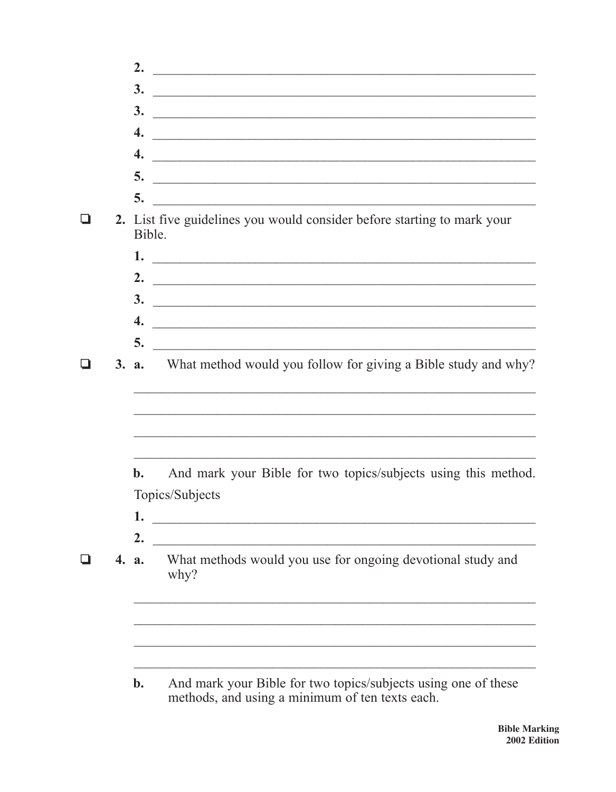|  | 2.             | <u> 1989 - Johann Harry Harry Harry Harry Harry Harry Harry Harry Harry Harry Harry Harry Harry Harry Harry Harry</u> |
|--|----------------|-----------------------------------------------------------------------------------------------------------------------|
|  | 3.             | <u> Alexandria de la contrada de la contrada de la contrada de la contrada de la contrada de la contrada de la c</u>  |
|  |                | $\frac{3}{2}$                                                                                                         |
|  |                | $\overline{4.}$                                                                                                       |
|  |                | $\overline{4.}$                                                                                                       |
|  |                |                                                                                                                       |
|  |                |                                                                                                                       |
|  | Bible.         | 2. List five guidelines you would consider before starting to mark your                                               |
|  |                | $1.$ $\overline{\phantom{a}}$                                                                                         |
|  |                |                                                                                                                       |
|  |                | $\overline{\mathbf{3.}}$                                                                                              |
|  |                | $\overline{4.}$                                                                                                       |
|  |                |                                                                                                                       |
|  |                | <b>3. a.</b> What method would you follow for giving a Bible study and why?                                           |
|  |                | and the control of the control of the control of the control of the control of the control of the control of the      |
|  | $\mathbf{b}$ . | And mark your Bible for two topics/subjects using this method.                                                        |
|  |                | Topics/Subjects                                                                                                       |
|  | 1.             |                                                                                                                       |
|  | 2.             |                                                                                                                       |
|  | 4. a.          | What methods would you use for ongoing devotional study and<br>why?                                                   |
|  |                |                                                                                                                       |
|  |                |                                                                                                                       |
|  | $\mathbf{b}$ . | And mark your Bible for two topics/subjects using one of these<br>methods, and using a minimum of ten texts each.     |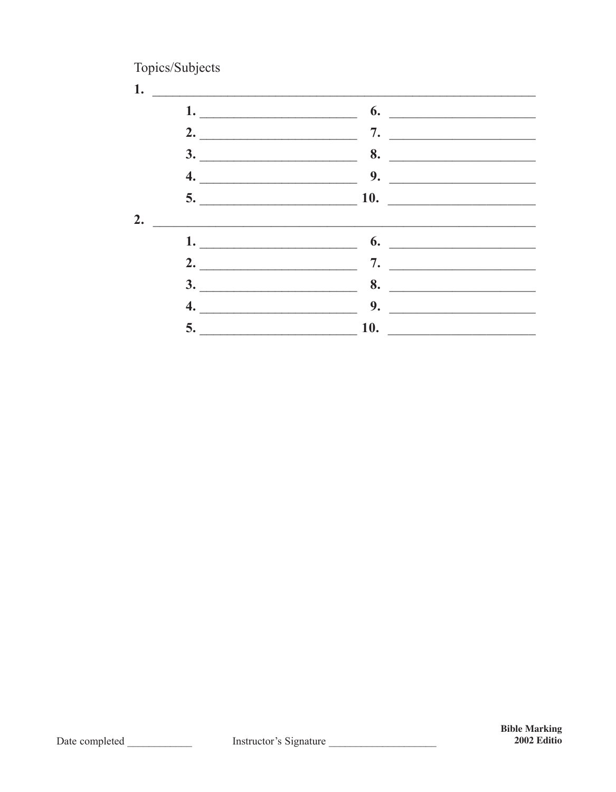Topics/Subjects

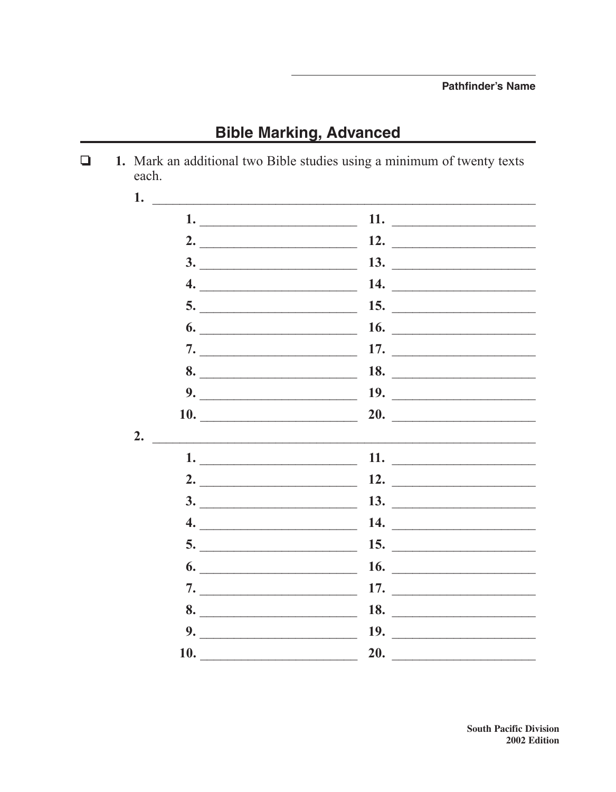**Bible Marking, Advanced** 

1. Mark an additional two Bible studies using a minimum of twenty texts  $\Box$ each. 1.  $11.$ 2.  $\qquad \qquad$ 12.  $\qquad \qquad$ 13.  $\qquad \qquad$  $\overline{\mathbf{3.}}$ 14.  $\qquad \qquad$  $\overline{\mathbf{4.}}$ 15.  $\qquad \qquad$  $5.$   $\overline{\phantom{a}}$  $6.$  $16.$  $\overline{\phantom{a}}$ 17.  $\qquad \qquad$ 8.  $18.$  $9.$ 19.  $\qquad \qquad$ 20. 10.  $2.$ 11.  $\qquad \qquad$  $2.$  $12.$ 13.  $\qquad \qquad$  $3.$  $4.$ 14.  $\qquad \qquad$ 15.  $\qquad \qquad$ 16.  $\qquad \qquad$  $\bullet$ .  $\overline{\phantom{a}}$ 17.  $\qquad \qquad$ 18.  $\qquad$ 8. 19.  $\qquad$  $9.$  $20.$ **10.** The contract of the contract of the contract of the contract of the contract of the contract of the contract of the contract of the contract of the contract of the contract of the contract of the contract of the cont